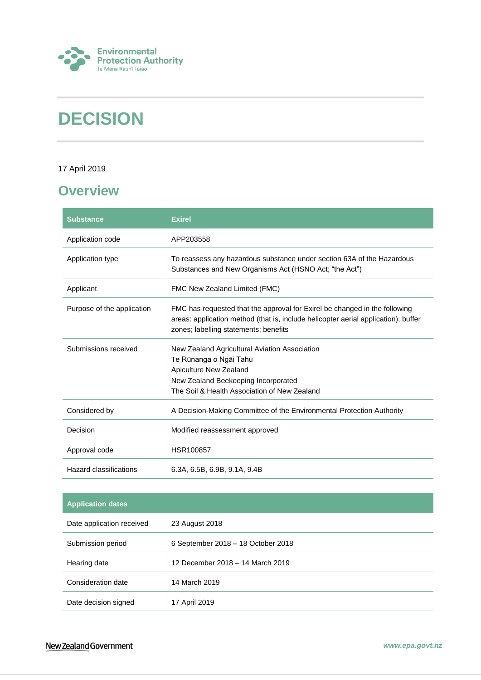

# **DECISION**

### 17 April 2019

## <span id="page-0-0"></span>**Overview**

| <b>Substance</b>           | <b>Exirel</b>                                                                                                                                                                                             |
|----------------------------|-----------------------------------------------------------------------------------------------------------------------------------------------------------------------------------------------------------|
| Application code           | APP203558                                                                                                                                                                                                 |
| Application type           | To reassess any hazardous substance under section 63A of the Hazardous<br>Substances and New Organisms Act (HSNO Act; "the Act")                                                                          |
| Applicant                  | FMC New Zealand Limited (FMC)                                                                                                                                                                             |
| Purpose of the application | FMC has requested that the approval for Exirel be changed in the following<br>areas: application method (that is, include helicopter aerial application); buffer<br>zones; labelling statements; benefits |
| Submissions received       | New Zealand Agricultural Aviation Association<br>Te Rūnanga o Ngāi Tahu<br>Apiculture New Zealand<br>New Zealand Beekeeping Incorporated<br>The Soil & Health Association of New Zealand                  |
| Considered by              | A Decision-Making Committee of the Environmental Protection Authority                                                                                                                                     |
| Decision                   | Modified reassessment approved                                                                                                                                                                            |
| Approval code              | HSR100857                                                                                                                                                                                                 |
| Hazard classifications     | 6.3A, 6.5B, 6.9B, 9.1A, 9.4B                                                                                                                                                                              |

| <b>Application dates</b>  |                                    |
|---------------------------|------------------------------------|
| Date application received | 23 August 2018                     |
| Submission period         | 6 September 2018 - 18 October 2018 |
| Hearing date              | 12 December 2018 - 14 March 2019   |
| Consideration date        | 14 March 2019                      |
| Date decision signed      | 17 April 2019                      |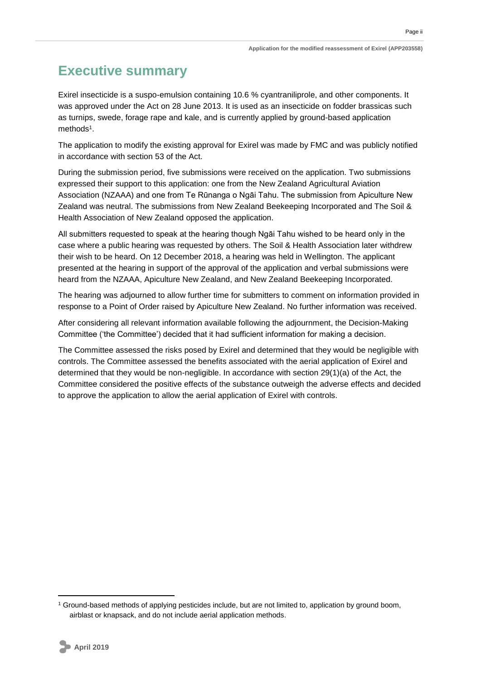Page ii

## <span id="page-1-0"></span>**Executive summary**

Exirel insecticide is a suspo-emulsion containing 10.6 % cyantraniliprole, and other components. It was approved under the Act on 28 June 2013. It is used as an insecticide on fodder brassicas such as turnips, swede, forage rape and kale, and is currently applied by ground-based application methods<sup>1</sup>.

The application to modify the existing approval for Exirel was made by FMC and was publicly notified in accordance with section 53 of the Act.

During the submission period, five submissions were received on the application. Two submissions expressed their support to this application: one from the New Zealand Agricultural Aviation Association (NZAAA) and one from Te Rūnanga o Ngāi Tahu. The submission from Apiculture New Zealand was neutral. The submissions from New Zealand Beekeeping Incorporated and The Soil & Health Association of New Zealand opposed the application.

All submitters requested to speak at the hearing though Ngāi Tahu wished to be heard only in the case where a public hearing was requested by others. The Soil & Health Association later withdrew their wish to be heard. On 12 December 2018, a hearing was held in Wellington. The applicant presented at the hearing in support of the approval of the application and verbal submissions were heard from the NZAAA, Apiculture New Zealand, and New Zealand Beekeeping Incorporated.

The hearing was adjourned to allow further time for submitters to comment on information provided in response to a Point of Order raised by Apiculture New Zealand. No further information was received.

After considering all relevant information available following the adjournment, the Decision-Making Committee ('the Committee') decided that it had sufficient information for making a decision.

The Committee assessed the risks posed by Exirel and determined that they would be negligible with controls. The Committee assessed the benefits associated with the aerial application of Exirel and determined that they would be non-negligible. In accordance with section 29(1)(a) of the Act, the Committee considered the positive effects of the substance outweigh the adverse effects and decided to approve the application to allow the aerial application of Exirel with controls.

<sup>1</sup> Ground-based methods of applying pesticides include, but are not limited to, application by ground boom, airblast or knapsack, and do not include aerial application methods.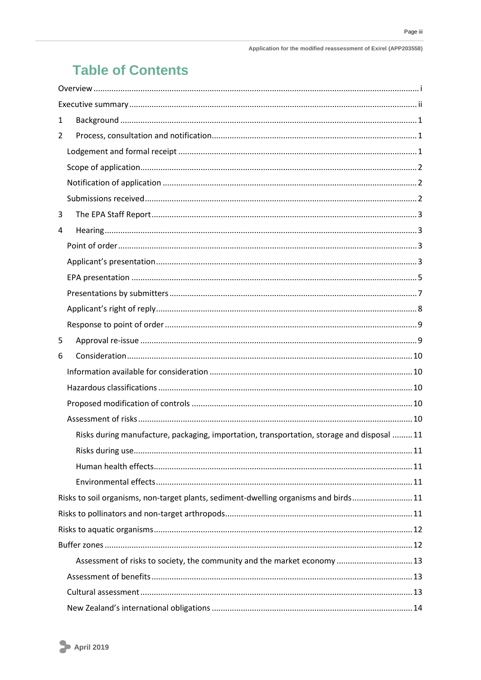## **Table of Contents**

| 1 |                                                                                           |  |
|---|-------------------------------------------------------------------------------------------|--|
| 2 |                                                                                           |  |
|   |                                                                                           |  |
|   |                                                                                           |  |
|   |                                                                                           |  |
|   |                                                                                           |  |
| 3 |                                                                                           |  |
| 4 |                                                                                           |  |
|   |                                                                                           |  |
|   |                                                                                           |  |
|   |                                                                                           |  |
|   |                                                                                           |  |
|   |                                                                                           |  |
|   |                                                                                           |  |
| 5 |                                                                                           |  |
| 6 |                                                                                           |  |
|   |                                                                                           |  |
|   |                                                                                           |  |
|   |                                                                                           |  |
|   |                                                                                           |  |
|   | Risks during manufacture, packaging, importation, transportation, storage and disposal 11 |  |
|   |                                                                                           |  |
|   |                                                                                           |  |
|   |                                                                                           |  |
|   | Risks to soil organisms, non-target plants, sediment-dwelling organisms and birds11       |  |
|   |                                                                                           |  |
|   |                                                                                           |  |
|   |                                                                                           |  |
|   | Assessment of risks to society, the community and the market economy  13                  |  |
|   |                                                                                           |  |
|   |                                                                                           |  |
|   |                                                                                           |  |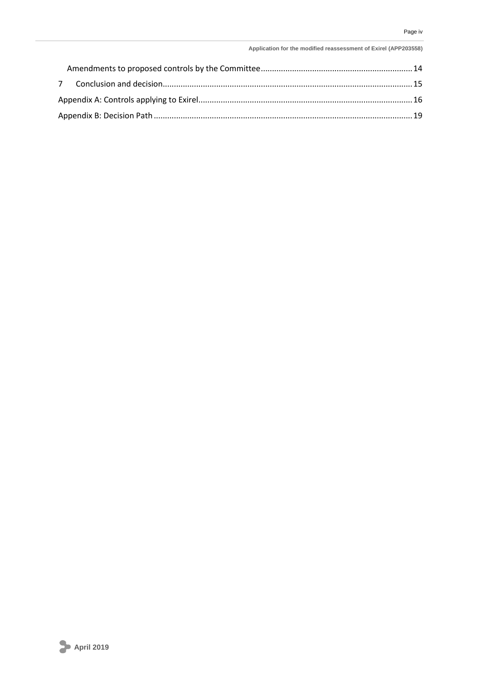#### **Application for the modified reassessment of Exirel (APP203558)**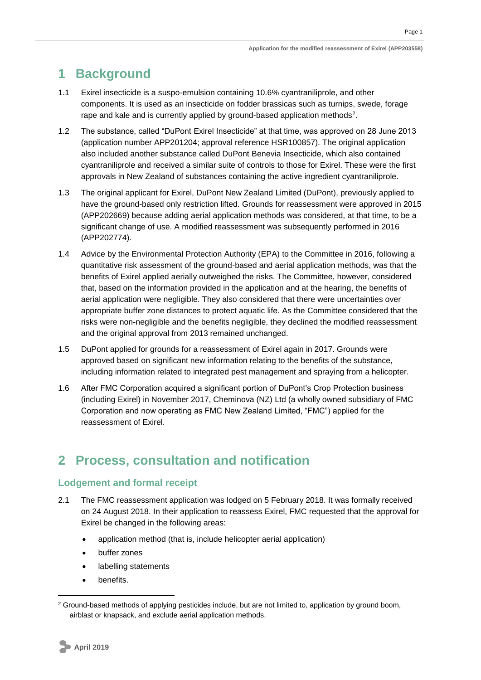## <span id="page-4-0"></span>**1 Background**

- 1.1 Exirel insecticide is a suspo-emulsion containing 10.6% cyantraniliprole, and other components. It is used as an insecticide on fodder brassicas such as turnips, swede, forage rape and kale and is currently applied by ground-based application methods<sup>2</sup>.
- 1.2 The substance, called "DuPont Exirel Insecticide" at that time, was approved on 28 June 2013 (application number APP201204; approval reference HSR100857). The original application also included another substance called DuPont Benevia Insecticide, which also contained cyantraniliprole and received a similar suite of controls to those for Exirel. These were the first approvals in New Zealand of substances containing the active ingredient cyantraniliprole.
- 1.3 The original applicant for Exirel, DuPont New Zealand Limited (DuPont), previously applied to have the ground-based only restriction lifted. Grounds for reassessment were approved in 2015 (APP202669) because adding aerial application methods was considered, at that time, to be a significant change of use. A modified reassessment was subsequently performed in 2016 (APP202774).
- 1.4 Advice by the Environmental Protection Authority (EPA) to the Committee in 2016, following a quantitative risk assessment of the ground-based and aerial application methods, was that the benefits of Exirel applied aerially outweighed the risks. The Committee, however, considered that, based on the information provided in the application and at the hearing, the benefits of aerial application were negligible. They also considered that there were uncertainties over appropriate buffer zone distances to protect aquatic life. As the Committee considered that the risks were non-negligible and the benefits negligible, they declined the modified reassessment and the original approval from 2013 remained unchanged.
- 1.5 DuPont applied for grounds for a reassessment of Exirel again in 2017. Grounds were approved based on significant new information relating to the benefits of the substance, including information related to integrated pest management and spraying from a helicopter.
- 1.6 After FMC Corporation acquired a significant portion of DuPont's Crop Protection business (including Exirel) in November 2017, Cheminova (NZ) Ltd (a wholly owned subsidiary of FMC Corporation and now operating as FMC New Zealand Limited, "FMC") applied for the reassessment of Exirel.

## <span id="page-4-1"></span>**2 Process, consultation and notification**

### <span id="page-4-2"></span>**Lodgement and formal receipt**

- 2.1 The FMC reassessment application was lodged on 5 February 2018. It was formally received on 24 August 2018. In their application to reassess Exirel, FMC requested that the approval for Exirel be changed in the following areas:
	- application method (that is, include helicopter aerial application)
	- buffer zones
	- labelling statements
	- benefits.

<sup>&</sup>lt;sup>2</sup> Ground-based methods of applying pesticides include, but are not limited to, application by ground boom, airblast or knapsack, and exclude aerial application methods.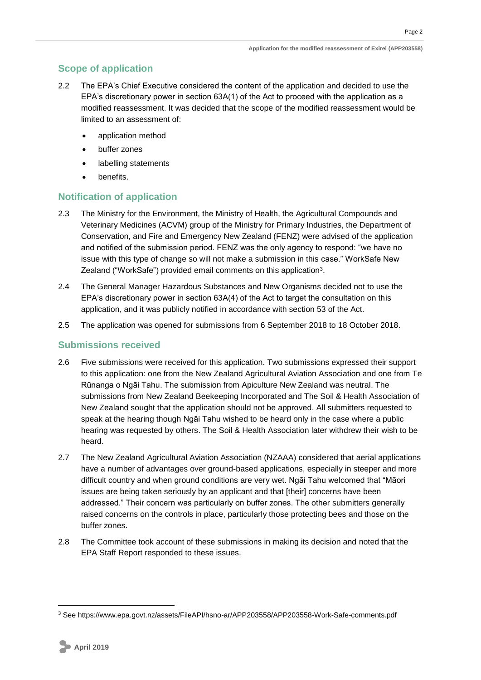### <span id="page-5-0"></span>**Scope of application**

- 2.2 The EPA's Chief Executive considered the content of the application and decided to use the EPA's discretionary power in section 63A(1) of the Act to proceed with the application as a modified reassessment. It was decided that the scope of the modified reassessment would be limited to an assessment of:
	- application method
	- buffer zones
	- labelling statements
	- benefits.

### <span id="page-5-1"></span>**Notification of application**

- 2.3 The Ministry for the Environment, the Ministry of Health, the Agricultural Compounds and Veterinary Medicines (ACVM) group of the Ministry for Primary Industries, the Department of Conservation, and Fire and Emergency New Zealand (FENZ) were advised of the application and notified of the submission period. FENZ was the only agency to respond: "we have no issue with this type of change so will not make a submission in this case." WorkSafe New Zealand ("WorkSafe") provided email comments on this application<sup>3</sup>.
- 2.4 The General Manager Hazardous Substances and New Organisms decided not to use the EPA's discretionary power in section 63A(4) of the Act to target the consultation on this application, and it was publicly notified in accordance with section 53 of the Act.
- 2.5 The application was opened for submissions from 6 September 2018 to 18 October 2018.

### <span id="page-5-2"></span>**Submissions received**

- 2.6 Five submissions were received for this application. Two submissions expressed their support to this application: one from the New Zealand Agricultural Aviation Association and one from Te Rūnanga o Ngāi Tahu. The submission from Apiculture New Zealand was neutral. The submissions from New Zealand Beekeeping Incorporated and The Soil & Health Association of New Zealand sought that the application should not be approved. All submitters requested to speak at the hearing though Ngāi Tahu wished to be heard only in the case where a public hearing was requested by others. The Soil & Health Association later withdrew their wish to be heard.
- 2.7 The New Zealand Agricultural Aviation Association (NZAAA) considered that aerial applications have a number of advantages over ground-based applications, especially in steeper and more difficult country and when ground conditions are very wet. Ngāi Tahu welcomed that "Māori issues are being taken seriously by an applicant and that [their] concerns have been addressed." Their concern was particularly on buffer zones. The other submitters generally raised concerns on the controls in place, particularly those protecting bees and those on the buffer zones.
- 2.8 The Committee took account of these submissions in making its decision and noted that the EPA Staff Report responded to these issues.

<sup>3</sup> See https://www.epa.govt.nz/assets/FileAPI/hsno-ar/APP203558/APP203558-Work-Safe-comments.pdf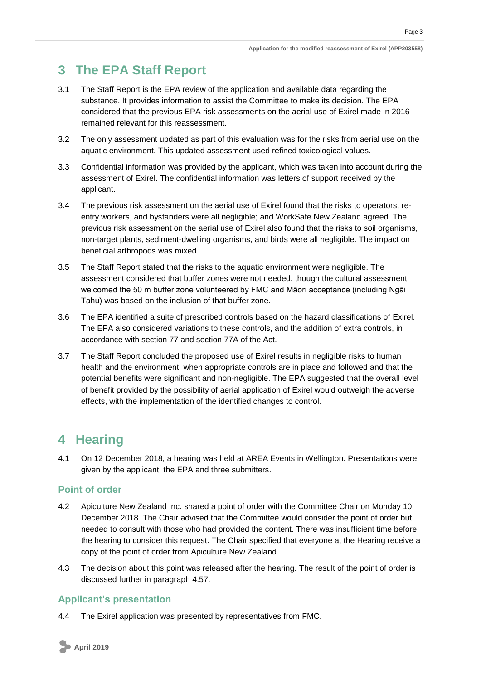Page 3

## <span id="page-6-0"></span>**3 The EPA Staff Report**

- 3.1 The Staff Report is the EPA review of the application and available data regarding the substance. It provides information to assist the Committee to make its decision. The EPA considered that the previous EPA risk assessments on the aerial use of Exirel made in 2016 remained relevant for this reassessment.
- 3.2 The only assessment updated as part of this evaluation was for the risks from aerial use on the aquatic environment. This updated assessment used refined toxicological values.
- 3.3 Confidential information was provided by the applicant, which was taken into account during the assessment of Exirel. The confidential information was letters of support received by the applicant.
- 3.4 The previous risk assessment on the aerial use of Exirel found that the risks to operators, reentry workers, and bystanders were all negligible; and WorkSafe New Zealand agreed. The previous risk assessment on the aerial use of Exirel also found that the risks to soil organisms, non-target plants, sediment-dwelling organisms, and birds were all negligible. The impact on beneficial arthropods was mixed.
- 3.5 The Staff Report stated that the risks to the aquatic environment were negligible. The assessment considered that buffer zones were not needed, though the cultural assessment welcomed the 50 m buffer zone volunteered by FMC and Māori acceptance (including Ngāi Tahu) was based on the inclusion of that buffer zone.
- 3.6 The EPA identified a suite of prescribed controls based on the hazard classifications of Exirel. The EPA also considered variations to these controls, and the addition of extra controls, in accordance with section 77 and section 77A of the Act.
- 3.7 The Staff Report concluded the proposed use of Exirel results in negligible risks to human health and the environment, when appropriate controls are in place and followed and that the potential benefits were significant and non-negligible. The EPA suggested that the overall level of benefit provided by the possibility of aerial application of Exirel would outweigh the adverse effects, with the implementation of the identified changes to control.

## <span id="page-6-1"></span>**4 Hearing**

4.1 On 12 December 2018, a hearing was held at AREA Events in Wellington. Presentations were given by the applicant, the EPA and three submitters.

## <span id="page-6-2"></span>**Point of order**

- 4.2 Apiculture New Zealand Inc. shared a point of order with the Committee Chair on Monday 10 December 2018. The Chair advised that the Committee would consider the point of order but needed to consult with those who had provided the content. There was insufficient time before the hearing to consider this request. The Chair specified that everyone at the Hearing receive a copy of the point of order from Apiculture New Zealand.
- 4.3 The decision about this point was released after the hearing. The result of the point of order is discussed further in paragraph [4.57.](#page-12-2)

## <span id="page-6-3"></span>**Applicant's presentation**

4.4 The Exirel application was presented by representatives from FMC.

**April 2019**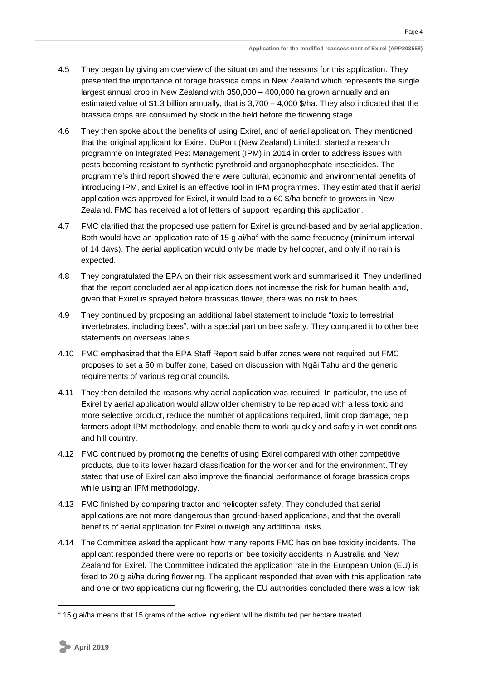- 4.5 They began by giving an overview of the situation and the reasons for this application. They presented the importance of forage brassica crops in New Zealand which represents the single largest annual crop in New Zealand with 350,000 – 400,000 ha grown annually and an estimated value of \$1.3 billion annually, that is  $3,700 - 4,000$  \$/ha. They also indicated that the brassica crops are consumed by stock in the field before the flowering stage.
- 4.6 They then spoke about the benefits of using Exirel, and of aerial application. They mentioned that the original applicant for Exirel, DuPont (New Zealand) Limited, started a research programme on Integrated Pest Management (IPM) in 2014 in order to address issues with pests becoming resistant to synthetic pyrethroid and organophosphate insecticides. The programme's third report showed there were cultural, economic and environmental benefits of introducing IPM, and Exirel is an effective tool in IPM programmes. They estimated that if aerial application was approved for Exirel, it would lead to a 60 \$/ha benefit to growers in New Zealand. FMC has received a lot of letters of support regarding this application.
- 4.7 FMC clarified that the proposed use pattern for Exirel is ground-based and by aerial application. Both would have an application rate of 15 g ai/ha<sup>4</sup> with the same frequency (minimum interval of 14 days). The aerial application would only be made by helicopter, and only if no rain is expected.
- 4.8 They congratulated the EPA on their risk assessment work and summarised it. They underlined that the report concluded aerial application does not increase the risk for human health and, given that Exirel is sprayed before brassicas flower, there was no risk to bees.
- 4.9 They continued by proposing an additional label statement to include "toxic to terrestrial invertebrates, including bees", with a special part on bee safety. They compared it to other bee statements on overseas labels.
- 4.10 FMC emphasized that the EPA Staff Report said buffer zones were not required but FMC proposes to set a 50 m buffer zone, based on discussion with Ngāi Tahu and the generic requirements of various regional councils.
- 4.11 They then detailed the reasons why aerial application was required. In particular, the use of Exirel by aerial application would allow older chemistry to be replaced with a less toxic and more selective product, reduce the number of applications required, limit crop damage, help farmers adopt IPM methodology, and enable them to work quickly and safely in wet conditions and hill country.
- 4.12 FMC continued by promoting the benefits of using Exirel compared with other competitive products, due to its lower hazard classification for the worker and for the environment. They stated that use of Exirel can also improve the financial performance of forage brassica crops while using an IPM methodology.
- 4.13 FMC finished by comparing tractor and helicopter safety. They concluded that aerial applications are not more dangerous than ground-based applications, and that the overall benefits of aerial application for Exirel outweigh any additional risks.
- 4.14 The Committee asked the applicant how many reports FMC has on bee toxicity incidents. The applicant responded there were no reports on bee toxicity accidents in Australia and New Zealand for Exirel. The Committee indicated the application rate in the European Union (EU) is fixed to 20 g ai/ha during flowering. The applicant responded that even with this application rate and one or two applications during flowering, the EU authorities concluded there was a low risk

<sup>4</sup> 15 g ai/ha means that 15 grams of the active ingredient will be distributed per hectare treated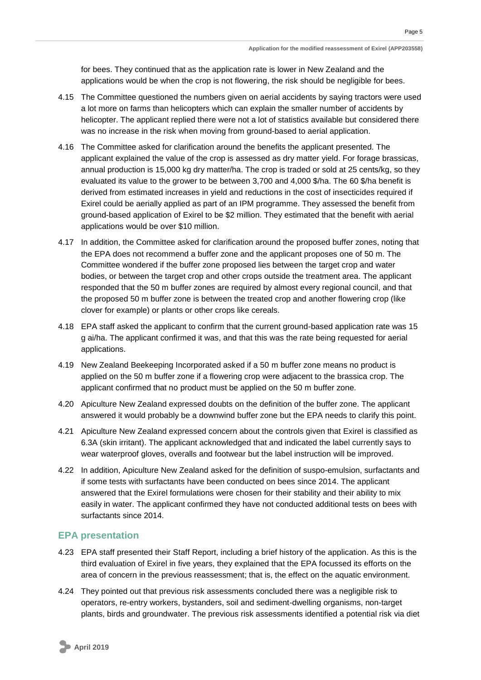for bees. They continued that as the application rate is lower in New Zealand and the applications would be when the crop is not flowering, the risk should be negligible for bees.

- 4.15 The Committee questioned the numbers given on aerial accidents by saying tractors were used a lot more on farms than helicopters which can explain the smaller number of accidents by helicopter. The applicant replied there were not a lot of statistics available but considered there was no increase in the risk when moving from ground-based to aerial application.
- 4.16 The Committee asked for clarification around the benefits the applicant presented. The applicant explained the value of the crop is assessed as dry matter yield. For forage brassicas, annual production is 15,000 kg dry matter/ha. The crop is traded or sold at 25 cents/kg, so they evaluated its value to the grower to be between 3,700 and 4,000 \$/ha. The 60 \$/ha benefit is derived from estimated increases in yield and reductions in the cost of insecticides required if Exirel could be aerially applied as part of an IPM programme. They assessed the benefit from ground-based application of Exirel to be \$2 million. They estimated that the benefit with aerial applications would be over \$10 million.
- 4.17 In addition, the Committee asked for clarification around the proposed buffer zones, noting that the EPA does not recommend a buffer zone and the applicant proposes one of 50 m. The Committee wondered if the buffer zone proposed lies between the target crop and water bodies, or between the target crop and other crops outside the treatment area. The applicant responded that the 50 m buffer zones are required by almost every regional council, and that the proposed 50 m buffer zone is between the treated crop and another flowering crop (like clover for example) or plants or other crops like cereals.
- 4.18 EPA staff asked the applicant to confirm that the current ground-based application rate was 15 g ai/ha. The applicant confirmed it was, and that this was the rate being requested for aerial applications.
- 4.19 New Zealand Beekeeping Incorporated asked if a 50 m buffer zone means no product is applied on the 50 m buffer zone if a flowering crop were adjacent to the brassica crop. The applicant confirmed that no product must be applied on the 50 m buffer zone.
- 4.20 Apiculture New Zealand expressed doubts on the definition of the buffer zone. The applicant answered it would probably be a downwind buffer zone but the EPA needs to clarify this point.
- 4.21 Apiculture New Zealand expressed concern about the controls given that Exirel is classified as 6.3A (skin irritant). The applicant acknowledged that and indicated the label currently says to wear waterproof gloves, overalls and footwear but the label instruction will be improved.
- 4.22 In addition, Apiculture New Zealand asked for the definition of suspo-emulsion, surfactants and if some tests with surfactants have been conducted on bees since 2014. The applicant answered that the Exirel formulations were chosen for their stability and their ability to mix easily in water. The applicant confirmed they have not conducted additional tests on bees with surfactants since 2014.

#### <span id="page-8-0"></span>**EPA presentation**

- 4.23 EPA staff presented their Staff Report, including a brief history of the application. As this is the third evaluation of Exirel in five years, they explained that the EPA focussed its efforts on the area of concern in the previous reassessment; that is, the effect on the aquatic environment.
- 4.24 They pointed out that previous risk assessments concluded there was a negligible risk to operators, re-entry workers, bystanders, soil and sediment-dwelling organisms, non-target plants, birds and groundwater. The previous risk assessments identified a potential risk via diet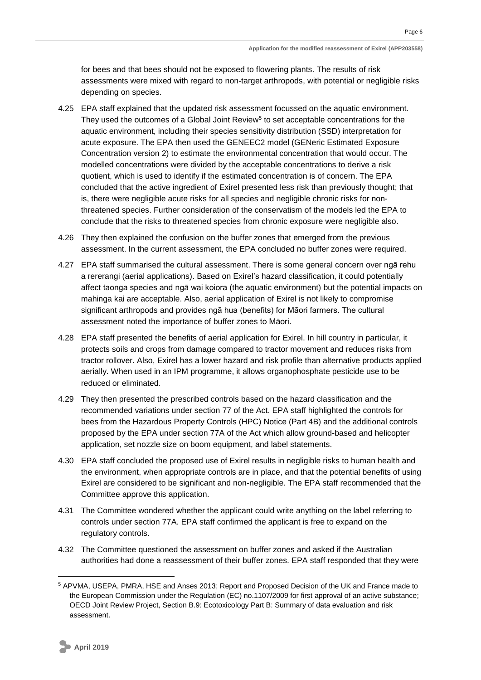for bees and that bees should not be exposed to flowering plants. The results of risk assessments were mixed with regard to non-target arthropods, with potential or negligible risks depending on species.

- 4.25 EPA staff explained that the updated risk assessment focussed on the aquatic environment. They used the outcomes of a Global Joint Review<sup>5</sup> to set acceptable concentrations for the aquatic environment, including their species sensitivity distribution (SSD) interpretation for acute exposure. The EPA then used the GENEEC2 model (GENeric Estimated Exposure Concentration version 2) to estimate the environmental concentration that would occur. The modelled concentrations were divided by the acceptable concentrations to derive a risk quotient, which is used to identify if the estimated concentration is of concern. The EPA concluded that the active ingredient of Exirel presented less risk than previously thought; that is, there were negligible acute risks for all species and negligible chronic risks for nonthreatened species. Further consideration of the conservatism of the models led the EPA to conclude that the risks to threatened species from chronic exposure were negligible also.
- 4.26 They then explained the confusion on the buffer zones that emerged from the previous assessment. In the current assessment, the EPA concluded no buffer zones were required.
- 4.27 EPA staff summarised the cultural assessment. There is some general concern over ngā rehu a rererangi (aerial applications). Based on Exirel's hazard classification, it could potentially affect taonga species and ngā wai koiora (the aquatic environment) but the potential impacts on mahinga kai are acceptable. Also, aerial application of Exirel is not likely to compromise significant arthropods and provides ngā hua (benefits) for Māori farmers. The cultural assessment noted the importance of buffer zones to Māori.
- 4.28 EPA staff presented the benefits of aerial application for Exirel. In hill country in particular, it protects soils and crops from damage compared to tractor movement and reduces risks from tractor rollover. Also, Exirel has a lower hazard and risk profile than alternative products applied aerially. When used in an IPM programme, it allows organophosphate pesticide use to be reduced or eliminated.
- 4.29 They then presented the prescribed controls based on the hazard classification and the recommended variations under section 77 of the Act. EPA staff highlighted the controls for bees from the Hazardous Property Controls (HPC) Notice (Part 4B) and the additional controls proposed by the EPA under section 77A of the Act which allow ground-based and helicopter application, set nozzle size on boom equipment, and label statements.
- 4.30 EPA staff concluded the proposed use of Exirel results in negligible risks to human health and the environment, when appropriate controls are in place, and that the potential benefits of using Exirel are considered to be significant and non-negligible. The EPA staff recommended that the Committee approve this application.
- 4.31 The Committee wondered whether the applicant could write anything on the label referring to controls under section 77A. EPA staff confirmed the applicant is free to expand on the regulatory controls.
- 4.32 The Committee questioned the assessment on buffer zones and asked if the Australian authorities had done a reassessment of their buffer zones. EPA staff responded that they were

<sup>5</sup> APVMA, USEPA, PMRA, HSE and Anses 2013; Report and Proposed Decision of the UK and France made to the European Commission under the Regulation (EC) no.1107/2009 for first approval of an active substance; OECD Joint Review Project, Section B.9: Ecotoxicology Part B: Summary of data evaluation and risk assessment.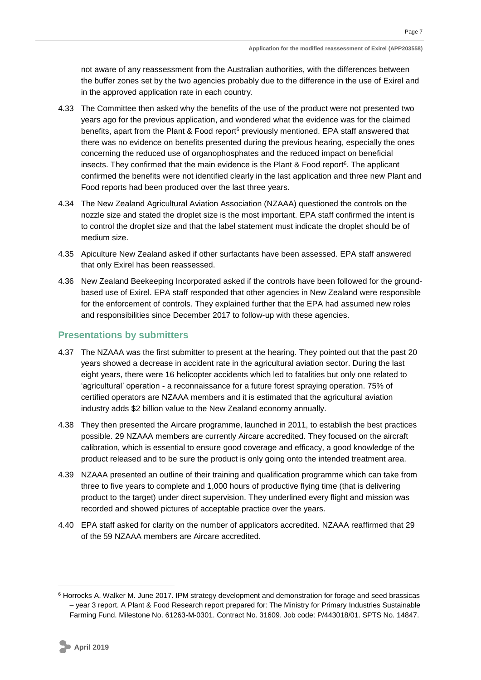Page 7

not aware of any reassessment from the Australian authorities, with the differences between the buffer zones set by the two agencies probably due to the difference in the use of Exirel and in the approved application rate in each country.

- 4.33 The Committee then asked why the benefits of the use of the product were not presented two years ago for the previous application, and wondered what the evidence was for the claimed benefits, apart from the Plant & Food report<sup>6</sup> previously mentioned. EPA staff answered that there was no evidence on benefits presented during the previous hearing, especially the ones concerning the reduced use of organophosphates and the reduced impact on beneficial insects. They confirmed that the main evidence is the Plant & Food report<sup>6</sup>. The applicant confirmed the benefits were not identified clearly in the last application and three new Plant and Food reports had been produced over the last three years.
- 4.34 The New Zealand Agricultural Aviation Association (NZAAA) questioned the controls on the nozzle size and stated the droplet size is the most important. EPA staff confirmed the intent is to control the droplet size and that the label statement must indicate the droplet should be of medium size.
- 4.35 Apiculture New Zealand asked if other surfactants have been assessed. EPA staff answered that only Exirel has been reassessed.
- 4.36 New Zealand Beekeeping Incorporated asked if the controls have been followed for the groundbased use of Exirel. EPA staff responded that other agencies in New Zealand were responsible for the enforcement of controls. They explained further that the EPA had assumed new roles and responsibilities since December 2017 to follow-up with these agencies.

### <span id="page-10-0"></span>**Presentations by submitters**

- 4.37 The NZAAA was the first submitter to present at the hearing. They pointed out that the past 20 years showed a decrease in accident rate in the agricultural aviation sector. During the last eight years, there were 16 helicopter accidents which led to fatalities but only one related to 'agricultural' operation - a reconnaissance for a future forest spraying operation. 75% of certified operators are NZAAA members and it is estimated that the agricultural aviation industry adds \$2 billion value to the New Zealand economy annually.
- 4.38 They then presented the Aircare programme, launched in 2011, to establish the best practices possible. 29 NZAAA members are currently Aircare accredited. They focused on the aircraft calibration, which is essential to ensure good coverage and efficacy, a good knowledge of the product released and to be sure the product is only going onto the intended treatment area.
- 4.39 NZAAA presented an outline of their training and qualification programme which can take from three to five years to complete and 1,000 hours of productive flying time (that is delivering product to the target) under direct supervision. They underlined every flight and mission was recorded and showed pictures of acceptable practice over the years.
- 4.40 EPA staff asked for clarity on the number of applicators accredited. NZAAA reaffirmed that 29 of the 59 NZAAA members are Aircare accredited.

<sup>6</sup> Horrocks A, Walker M. June 2017. IPM strategy development and demonstration for forage and seed brassicas – year 3 report. A Plant & Food Research report prepared for: The Ministry for Primary Industries Sustainable Farming Fund. Milestone No. 61263-M-0301. Contract No. 31609. Job code: P/443018/01. SPTS No. 14847.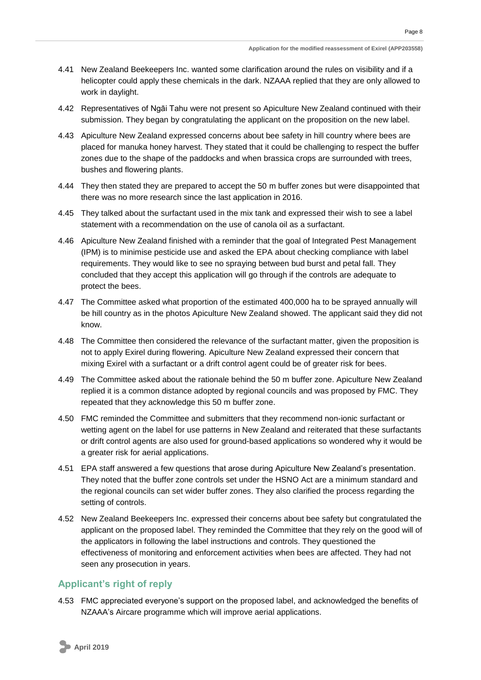- 4.41 New Zealand Beekeepers Inc. wanted some clarification around the rules on visibility and if a helicopter could apply these chemicals in the dark. NZAAA replied that they are only allowed to work in daylight.
- 4.42 Representatives of Ngāi Tahu were not present so Apiculture New Zealand continued with their submission. They began by congratulating the applicant on the proposition on the new label.
- 4.43 Apiculture New Zealand expressed concerns about bee safety in hill country where bees are placed for manuka honey harvest. They stated that it could be challenging to respect the buffer zones due to the shape of the paddocks and when brassica crops are surrounded with trees, bushes and flowering plants.
- 4.44 They then stated they are prepared to accept the 50 m buffer zones but were disappointed that there was no more research since the last application in 2016.
- 4.45 They talked about the surfactant used in the mix tank and expressed their wish to see a label statement with a recommendation on the use of canola oil as a surfactant.
- 4.46 Apiculture New Zealand finished with a reminder that the goal of Integrated Pest Management (IPM) is to minimise pesticide use and asked the EPA about checking compliance with label requirements. They would like to see no spraying between bud burst and petal fall. They concluded that they accept this application will go through if the controls are adequate to protect the bees.
- 4.47 The Committee asked what proportion of the estimated 400,000 ha to be sprayed annually will be hill country as in the photos Apiculture New Zealand showed. The applicant said they did not know.
- 4.48 The Committee then considered the relevance of the surfactant matter, given the proposition is not to apply Exirel during flowering. Apiculture New Zealand expressed their concern that mixing Exirel with a surfactant or a drift control agent could be of greater risk for bees.
- 4.49 The Committee asked about the rationale behind the 50 m buffer zone. Apiculture New Zealand replied it is a common distance adopted by regional councils and was proposed by FMC. They repeated that they acknowledge this 50 m buffer zone.
- 4.50 FMC reminded the Committee and submitters that they recommend non-ionic surfactant or wetting agent on the label for use patterns in New Zealand and reiterated that these surfactants or drift control agents are also used for ground-based applications so wondered why it would be a greater risk for aerial applications.
- 4.51 EPA staff answered a few questions that arose during Apiculture New Zealand's presentation. They noted that the buffer zone controls set under the HSNO Act are a minimum standard and the regional councils can set wider buffer zones. They also clarified the process regarding the setting of controls.
- 4.52 New Zealand Beekeepers Inc. expressed their concerns about bee safety but congratulated the applicant on the proposed label. They reminded the Committee that they rely on the good will of the applicators in following the label instructions and controls. They questioned the effectiveness of monitoring and enforcement activities when bees are affected. They had not seen any prosecution in years.

### <span id="page-11-0"></span>**Applicant's right of reply**

4.53 FMC appreciated everyone's support on the proposed label, and acknowledged the benefits of NZAAA's Aircare programme which will improve aerial applications.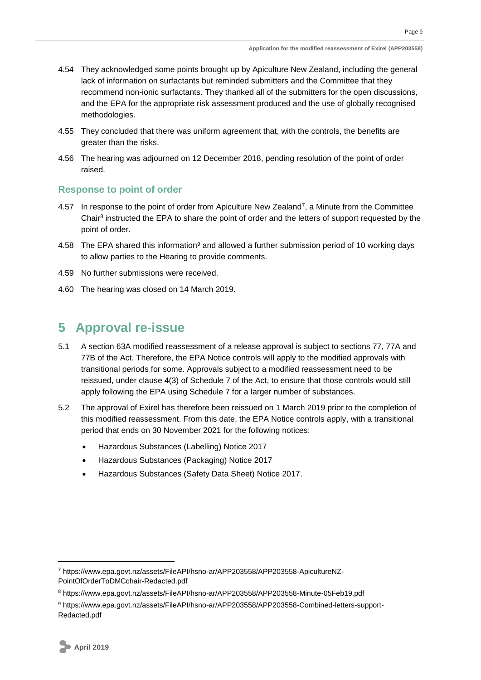- 4.54 They acknowledged some points brought up by Apiculture New Zealand, including the general lack of information on surfactants but reminded submitters and the Committee that they recommend non-ionic surfactants. They thanked all of the submitters for the open discussions, and the EPA for the appropriate risk assessment produced and the use of globally recognised methodologies.
- 4.55 They concluded that there was uniform agreement that, with the controls, the benefits are greater than the risks.
- 4.56 The hearing was adjourned on 12 December 2018, pending resolution of the point of order raised.

#### <span id="page-12-0"></span>**Response to point of order**

- <span id="page-12-2"></span>4.57 In response to the point of order from Apiculture New Zealand<sup>7</sup>, a Minute from the Committee Chair<sup>8</sup> instructed the EPA to share the point of order and the letters of support requested by the point of order.
- 4.58 The EPA shared this information<sup>9</sup> and allowed a further submission period of 10 working days to allow parties to the Hearing to provide comments.
- 4.59 No further submissions were received.
- 4.60 The hearing was closed on 14 March 2019.

## <span id="page-12-1"></span>**5 Approval re-issue**

- 5.1 A section 63A modified reassessment of a release approval is subject to sections 77, 77A and 77B of the Act. Therefore, the EPA Notice controls will apply to the modified approvals with transitional periods for some. Approvals subject to a modified reassessment need to be reissued, under clause 4(3) of Schedule 7 of the Act, to ensure that those controls would still apply following the EPA using Schedule 7 for a larger number of substances.
- 5.2 The approval of Exirel has therefore been reissued on 1 March 2019 prior to the completion of this modified reassessment. From this date, the EPA Notice controls apply, with a transitional period that ends on 30 November 2021 for the following notices:
	- Hazardous Substances (Labelling) Notice 2017
	- Hazardous Substances (Packaging) Notice 2017
	- Hazardous Substances (Safety Data Sheet) Notice 2017.

<sup>7</sup> https://www.epa.govt.nz/assets/FileAPI/hsno-ar/APP203558/APP203558-ApicultureNZ-PointOfOrderToDMCchair-Redacted.pdf

<sup>8</sup> https://www.epa.govt.nz/assets/FileAPI/hsno-ar/APP203558/APP203558-Minute-05Feb19.pdf

<sup>9</sup> https://www.epa.govt.nz/assets/FileAPI/hsno-ar/APP203558/APP203558-Combined-letters-support-Redacted.pdf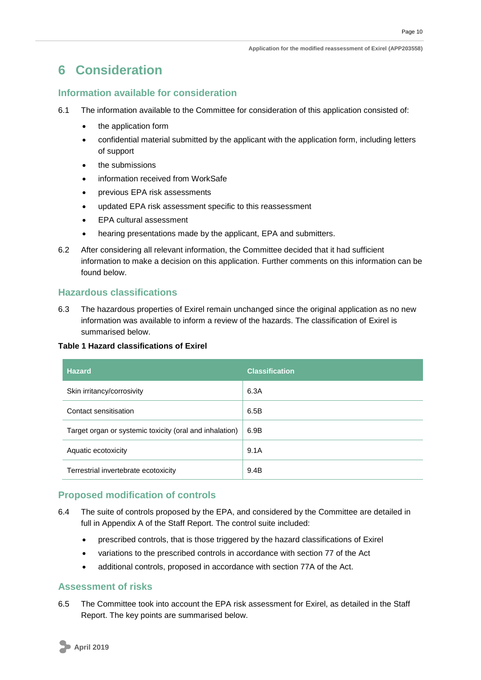## <span id="page-13-0"></span>**6 Consideration**

### <span id="page-13-1"></span>**Information available for consideration**

- 6.1 The information available to the Committee for consideration of this application consisted of:
	- the application form
	- confidential material submitted by the applicant with the application form, including letters of support
	- the submissions
	- information received from WorkSafe
	- previous EPA risk assessments
	- updated EPA risk assessment specific to this reassessment
	- EPA cultural assessment
	- hearing presentations made by the applicant, EPA and submitters.
- 6.2 After considering all relevant information, the Committee decided that it had sufficient information to make a decision on this application. Further comments on this information can be found below.

### <span id="page-13-2"></span>**Hazardous classifications**

6.3 The hazardous properties of Exirel remain unchanged since the original application as no new information was available to inform a review of the hazards. The classification of Exirel is summarised below.

#### **Table 1 Hazard classifications of Exirel**

| <b>Hazard</b>                                           | <b>Classification</b> |
|---------------------------------------------------------|-----------------------|
| Skin irritancy/corrosivity                              | 6.3A                  |
| Contact sensitisation                                   | 6.5B                  |
| Target organ or systemic toxicity (oral and inhalation) | 6.9B                  |
| Aquatic ecotoxicity                                     | 9.1A                  |
| Terrestrial invertebrate ecotoxicity                    | 9.4B                  |

### <span id="page-13-3"></span>**Proposed modification of controls**

- 6.4 The suite of controls proposed by the EPA, and considered by the Committee are detailed in full in Appendix A of the Staff Report. The control suite included:
	- prescribed controls, that is those triggered by the hazard classifications of Exirel
	- variations to the prescribed controls in accordance with section 77 of the Act
	- additional controls, proposed in accordance with section 77A of the Act.

### <span id="page-13-4"></span>**Assessment of risks**

6.5 The Committee took into account the EPA risk assessment for Exirel, as detailed in the Staff Report. The key points are summarised below.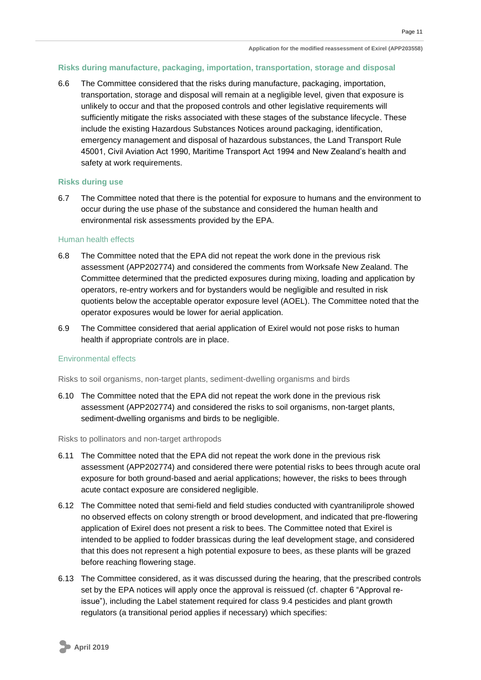#### <span id="page-14-0"></span>**Risks during manufacture, packaging, importation, transportation, storage and disposal**

6.6 The Committee considered that the risks during manufacture, packaging, importation, transportation, storage and disposal will remain at a negligible level, given that exposure is unlikely to occur and that the proposed controls and other legislative requirements will sufficiently mitigate the risks associated with these stages of the substance lifecycle. These include the existing Hazardous Substances Notices around packaging, identification, emergency management and disposal of hazardous substances, the Land Transport Rule 45001, Civil Aviation Act 1990, Maritime Transport Act 1994 and New Zealand's health and safety at work requirements.

#### <span id="page-14-1"></span>**Risks during use**

6.7 The Committee noted that there is the potential for exposure to humans and the environment to occur during the use phase of the substance and considered the human health and environmental risk assessments provided by the EPA.

#### <span id="page-14-2"></span>Human health effects

- 6.8 The Committee noted that the EPA did not repeat the work done in the previous risk assessment (APP202774) and considered the comments from Worksafe New Zealand. The Committee determined that the predicted exposures during mixing, loading and application by operators, re-entry workers and for bystanders would be negligible and resulted in risk quotients below the acceptable operator exposure level (AOEL). The Committee noted that the operator exposures would be lower for aerial application.
- 6.9 The Committee considered that aerial application of Exirel would not pose risks to human health if appropriate controls are in place.

#### <span id="page-14-4"></span><span id="page-14-3"></span>Environmental effects

Risks to soil organisms, non-target plants, sediment-dwelling organisms and birds

6.10 The Committee noted that the EPA did not repeat the work done in the previous risk assessment (APP202774) and considered the risks to soil organisms, non-target plants, sediment-dwelling organisms and birds to be negligible.

#### <span id="page-14-5"></span>Risks to pollinators and non-target arthropods

- 6.11 The Committee noted that the EPA did not repeat the work done in the previous risk assessment (APP202774) and considered there were potential risks to bees through acute oral exposure for both ground-based and aerial applications; however, the risks to bees through acute contact exposure are considered negligible.
- 6.12 The Committee noted that semi-field and field studies conducted with cyantraniliprole showed no observed effects on colony strength or brood development, and indicated that pre-flowering application of Exirel does not present a risk to bees. The Committee noted that Exirel is intended to be applied to fodder brassicas during the leaf development stage, and considered that this does not represent a high potential exposure to bees, as these plants will be grazed before reaching flowering stage.
- 6.13 The Committee considered, as it was discussed during the hearing, that the prescribed controls set by the EPA notices will apply once the approval is reissued (cf. chapter 6 "Approval reissue"), including the Label statement required for class 9.4 pesticides and plant growth regulators (a transitional period applies if necessary) which specifies: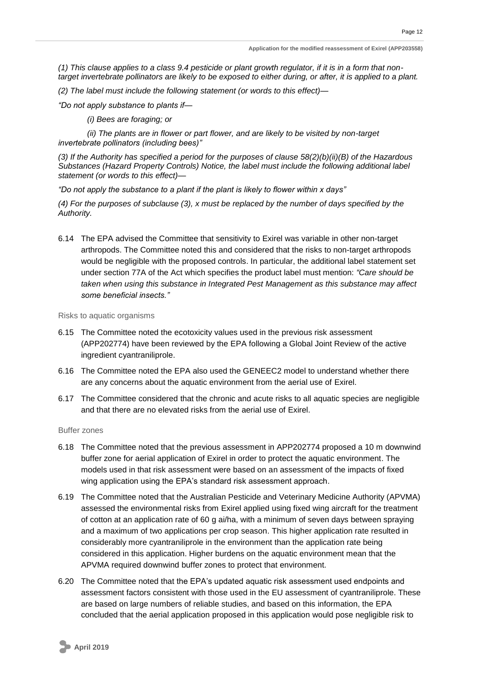*(1) This clause applies to a class 9.4 pesticide or plant growth regulator, if it is in a form that nontarget invertebrate pollinators are likely to be exposed to either during, or after, it is applied to a plant.* 

*(2) The label must include the following statement (or words to this effect)—*

*"Do not apply substance to plants if—*

*(i) Bees are foraging; or* 

*(ii) The plants are in flower or part flower, and are likely to be visited by non-target invertebrate pollinators (including bees)"* 

*(3) If the Authority has specified a period for the purposes of clause 58(2)(b)(ii)(B) of the Hazardous Substances (Hazard Property Controls) Notice, the label must include the following additional label statement (or words to this effect)—*

*"Do not apply the substance to a plant if the plant is likely to flower within x days"* 

*(4) For the purposes of subclause (3), x must be replaced by the number of days specified by the Authority.* 

6.14 The EPA advised the Committee that sensitivity to Exirel was variable in other non-target arthropods. The Committee noted this and considered that the risks to non-target arthropods would be negligible with the proposed controls. In particular, the additional label statement set under section 77A of the Act which specifies the product label must mention: *"Care should be taken when using this substance in Integrated Pest Management as this substance may affect some beneficial insects."*

<span id="page-15-0"></span>Risks to aquatic organisms

- 6.15 The Committee noted the ecotoxicity values used in the previous risk assessment (APP202774) have been reviewed by the EPA following a Global Joint Review of the active ingredient cyantraniliprole.
- 6.16 The Committee noted the EPA also used the GENEEC2 model to understand whether there are any concerns about the aquatic environment from the aerial use of Exirel.
- 6.17 The Committee considered that the chronic and acute risks to all aquatic species are negligible and that there are no elevated risks from the aerial use of Exirel.

<span id="page-15-1"></span>Buffer zones

- 6.18 The Committee noted that the previous assessment in APP202774 proposed a 10 m downwind buffer zone for aerial application of Exirel in order to protect the aquatic environment. The models used in that risk assessment were based on an assessment of the impacts of fixed wing application using the EPA's standard risk assessment approach.
- 6.19 The Committee noted that the Australian Pesticide and Veterinary Medicine Authority (APVMA) assessed the environmental risks from Exirel applied using fixed wing aircraft for the treatment of cotton at an application rate of 60 g ai/ha, with a minimum of seven days between spraying and a maximum of two applications per crop season. This higher application rate resulted in considerably more cyantraniliprole in the environment than the application rate being considered in this application. Higher burdens on the aquatic environment mean that the APVMA required downwind buffer zones to protect that environment.
- 6.20 The Committee noted that the EPA's updated aquatic risk assessment used endpoints and assessment factors consistent with those used in the EU assessment of cyantraniliprole. These are based on large numbers of reliable studies, and based on this information, the EPA concluded that the aerial application proposed in this application would pose negligible risk to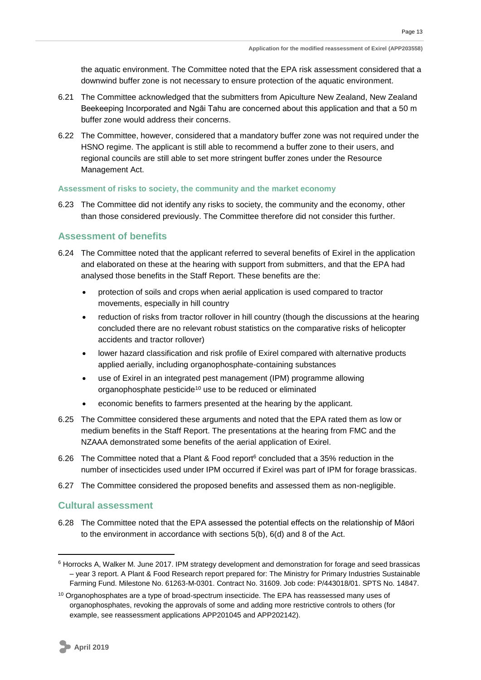the aquatic environment. The Committee noted that the EPA risk assessment considered that a downwind buffer zone is not necessary to ensure protection of the aquatic environment.

- 6.21 The Committee acknowledged that the submitters from Apiculture New Zealand, New Zealand Beekeeping Incorporated and Ngāi Tahu are concerned about this application and that a 50 m buffer zone would address their concerns.
- 6.22 The Committee, however, considered that a mandatory buffer zone was not required under the HSNO regime. The applicant is still able to recommend a buffer zone to their users, and regional councils are still able to set more stringent buffer zones under the Resource Management Act.

#### <span id="page-16-0"></span>**Assessment of risks to society, the community and the market economy**

6.23 The Committee did not identify any risks to society, the community and the economy, other than those considered previously. The Committee therefore did not consider this further.

#### <span id="page-16-1"></span>**Assessment of benefits**

- 6.24 The Committee noted that the applicant referred to several benefits of Exirel in the application and elaborated on these at the hearing with support from submitters, and that the EPA had analysed those benefits in the Staff Report. These benefits are the:
	- protection of soils and crops when aerial application is used compared to tractor movements, especially in hill country
	- reduction of risks from tractor rollover in hill country (though the discussions at the hearing concluded there are no relevant robust statistics on the comparative risks of helicopter accidents and tractor rollover)
	- lower hazard classification and risk profile of Exirel compared with alternative products applied aerially, including organophosphate-containing substances
	- use of Exirel in an integrated pest management (IPM) programme allowing organophosphate pesticide<sup>10</sup> use to be reduced or eliminated
	- economic benefits to farmers presented at the hearing by the applicant.
- 6.25 The Committee considered these arguments and noted that the EPA rated them as low or medium benefits in the Staff Report. The presentations at the hearing from FMC and the NZAAA demonstrated some benefits of the aerial application of Exirel.
- 6.26 The Committee noted that a Plant & Food report<sup>6</sup> concluded that a 35% reduction in the number of insecticides used under IPM occurred if Exirel was part of IPM for forage brassicas.
- 6.27 The Committee considered the proposed benefits and assessed them as non-negligible.

#### <span id="page-16-2"></span>**Cultural assessment**

6.28 The Committee noted that the EPA assessed the potential effects on the relationship of Māori to the environment in accordance with sections 5(b), 6(d) and 8 of the Act.

<sup>6</sup> Horrocks A, Walker M. June 2017. IPM strategy development and demonstration for forage and seed brassicas – year 3 report. A Plant & Food Research report prepared for: The Ministry for Primary Industries Sustainable Farming Fund. Milestone No. 61263-M-0301. Contract No. 31609. Job code: P/443018/01. SPTS No. 14847.

<sup>&</sup>lt;sup>10</sup> Organophosphates are a type of broad-spectrum insecticide. The EPA has reassessed many uses of organophosphates, revoking the approvals of some and adding more restrictive controls to others (for example, see reassessment applications APP201045 and APP202142).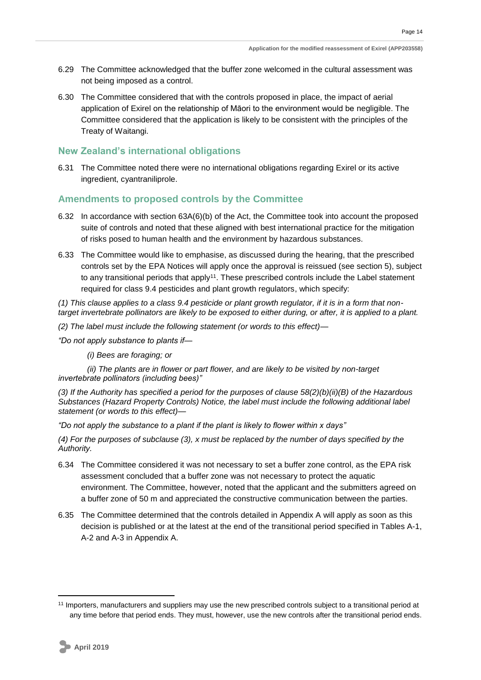- 6.29 The Committee acknowledged that the buffer zone welcomed in the cultural assessment was not being imposed as a control.
- 6.30 The Committee considered that with the controls proposed in place, the impact of aerial application of Exirel on the relationship of Māori to the environment would be negligible. The Committee considered that the application is likely to be consistent with the principles of the Treaty of Waitangi.

#### <span id="page-17-0"></span>**New Zealand's international obligations**

6.31 The Committee noted there were no international obligations regarding Exirel or its active ingredient, cyantraniliprole.

### <span id="page-17-1"></span>**Amendments to proposed controls by the Committee**

- 6.32 In accordance with section 63A(6)(b) of the Act, the Committee took into account the proposed suite of controls and noted that these aligned with best international practice for the mitigation of risks posed to human health and the environment by hazardous substances.
- 6.33 The Committee would like to emphasise, as discussed during the hearing, that the prescribed controls set by the EPA Notices will apply once the approval is reissued (see section 5), subject to any transitional periods that apply<sup>11</sup>. These prescribed controls include the Label statement required for class 9.4 pesticides and plant growth regulators, which specify:

*(1) This clause applies to a class 9.4 pesticide or plant growth regulator, if it is in a form that nontarget invertebrate pollinators are likely to be exposed to either during, or after, it is applied to a plant.* 

*(2) The label must include the following statement (or words to this effect)—*

*"Do not apply substance to plants if—*

*(i) Bees are foraging; or* 

*(ii) The plants are in flower or part flower, and are likely to be visited by non-target invertebrate pollinators (including bees)"* 

*(3) If the Authority has specified a period for the purposes of clause 58(2)(b)(ii)(B) of the Hazardous Substances (Hazard Property Controls) Notice, the label must include the following additional label statement (or words to this effect)—*

*"Do not apply the substance to a plant if the plant is likely to flower within x days"* 

*(4) For the purposes of subclause (3), x must be replaced by the number of days specified by the Authority.*

- 6.34 The Committee considered it was not necessary to set a buffer zone control, as the EPA risk assessment concluded that a buffer zone was not necessary to protect the aquatic environment. The Committee, however, noted that the applicant and the submitters agreed on a buffer zone of 50 m and appreciated the constructive communication between the parties.
- 6.35 The Committee determined that the controls detailed in Appendix A will apply as soon as this decision is published or at the latest at the end of the transitional period specified in Tables A-1, A-2 and A-3 in Appendix A.

<sup>11</sup> Importers, manufacturers and suppliers may use the new prescribed controls subject to a transitional period at any time before that period ends. They must, however, use the new controls after the transitional period ends.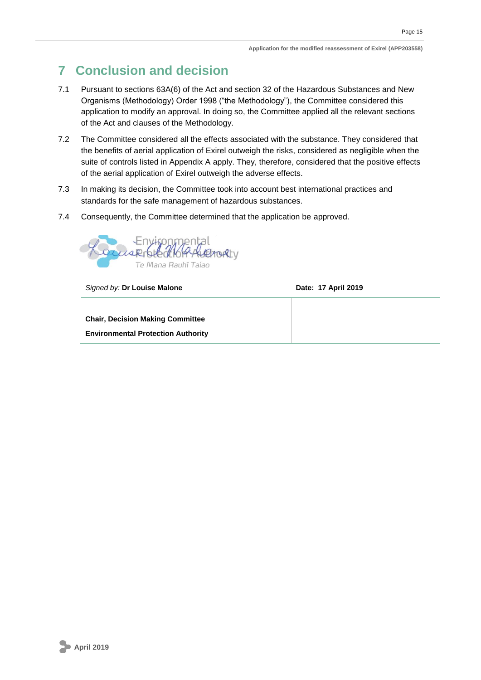## <span id="page-18-0"></span>**7 Conclusion and decision**

- 7.1 Pursuant to sections 63A(6) of the Act and section 32 of the Hazardous Substances and New Organisms (Methodology) Order 1998 ("the Methodology"), the Committee considered this application to modify an approval. In doing so, the Committee applied all the relevant sections of the Act and clauses of the Methodology.
- 7.2 The Committee considered all the effects associated with the substance. They considered that the benefits of aerial application of Exirel outweigh the risks, considered as negligible when the suite of controls listed in Appendix A apply. They, therefore, considered that the positive effects of the aerial application of Exirel outweigh the adverse effects.
- 7.3 In making its decision, the Committee took into account best international practices and standards for the safe management of hazardous substances.
- 7.4 Consequently, the Committee determined that the application be approved.



**Signed by: Dr Louise Malone Date: 17 April 2019** 

**Chair, Decision Making Committee Environmental Protection Authority**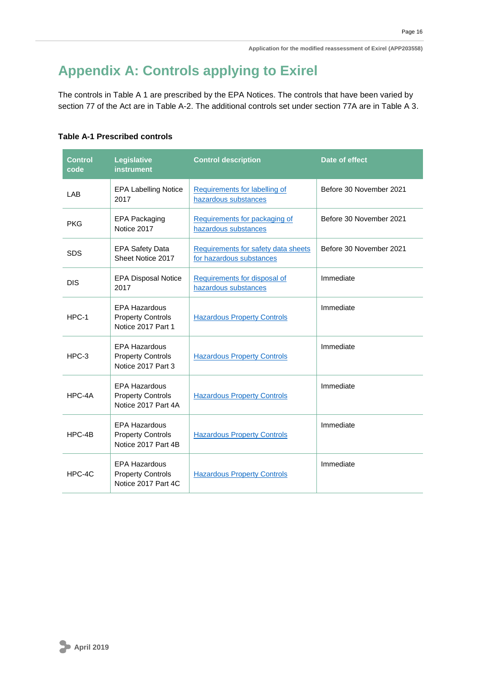## <span id="page-19-0"></span>**Appendix A: Controls applying to Exirel**

The controls in Table A 1 are prescribed by the EPA Notices. The controls that have been varied by section 77 of the Act are in Table A-2. The additional controls set under section 77A are in Table A 3.

### **Table A-1 Prescribed controls**

| <b>Control</b><br>code | Legislative<br><b>instrument</b>                                        | <b>Control description</b>                                      | Date of effect          |
|------------------------|-------------------------------------------------------------------------|-----------------------------------------------------------------|-------------------------|
| LAB                    | <b>EPA Labelling Notice</b><br>2017                                     | Requirements for labelling of<br>hazardous substances           | Before 30 November 2021 |
| <b>PKG</b>             | EPA Packaging<br>Notice 2017                                            | Requirements for packaging of<br>hazardous substances           | Before 30 November 2021 |
| <b>SDS</b>             | <b>EPA Safety Data</b><br>Sheet Notice 2017                             | Requirements for safety data sheets<br>for hazardous substances | Before 30 November 2021 |
| <b>DIS</b>             | <b>EPA Disposal Notice</b><br>2017                                      | Requirements for disposal of<br>hazardous substances            | Immediate               |
| HPC-1                  | <b>EPA Hazardous</b><br><b>Property Controls</b><br>Notice 2017 Part 1  | <b>Hazardous Property Controls</b>                              | Immediate               |
| $HPC-3$                | <b>EPA Hazardous</b><br><b>Property Controls</b><br>Notice 2017 Part 3  | <b>Hazardous Property Controls</b>                              | Immediate               |
| HPC-4A                 | <b>EPA Hazardous</b><br><b>Property Controls</b><br>Notice 2017 Part 4A | <b>Hazardous Property Controls</b>                              | Immediate               |
| HPC-4B                 | <b>EPA Hazardous</b><br><b>Property Controls</b><br>Notice 2017 Part 4B | <b>Hazardous Property Controls</b>                              | Immediate               |
| HPC-4C                 | <b>EPA Hazardous</b><br><b>Property Controls</b><br>Notice 2017 Part 4C | <b>Hazardous Property Controls</b>                              | Immediate               |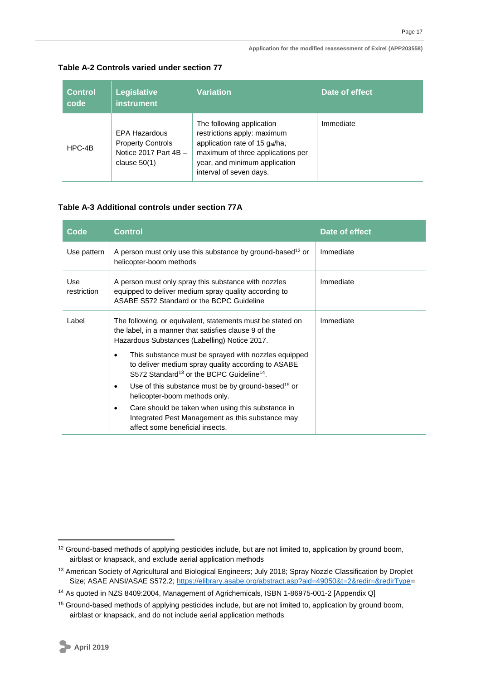#### **Application for the modified reassessment of Exirel (APP203558)**

| <b>Control</b><br>code | Legislative<br><b>instrument</b>                                                       | <b>Variation</b>                                                                                                                                                                            | Date of effect |
|------------------------|----------------------------------------------------------------------------------------|---------------------------------------------------------------------------------------------------------------------------------------------------------------------------------------------|----------------|
| HPC-4B                 | EPA Hazardous<br><b>Property Controls</b><br>Notice 2017 Part $4B -$<br>clause $50(1)$ | The following application<br>restrictions apply: maximum<br>application rate of 15 gai/ha,<br>maximum of three applications per<br>year, and minimum application<br>interval of seven days. | Immediate      |

### **Table A-2 Controls varied under section 77**

#### **Table A-3 Additional controls under section 77A**

| Code               | <b>Control</b>                                                                                                                                                                  | Date of effect |
|--------------------|---------------------------------------------------------------------------------------------------------------------------------------------------------------------------------|----------------|
| Use pattern        | A person must only use this substance by ground-based <sup>12</sup> or<br>helicopter-boom methods                                                                               | Immediate      |
| Use<br>restriction | A person must only spray this substance with nozzles<br>equipped to deliver medium spray quality according to<br>ASABE S572 Standard or the BCPC Guideline                      | Immediate      |
| Label              | The following, or equivalent, statements must be stated on<br>the label, in a manner that satisfies clause 9 of the<br>Hazardous Substances (Labelling) Notice 2017.            | Immediate      |
|                    | This substance must be sprayed with nozzles equipped<br>to deliver medium spray quality according to ASABE<br>S572 Standard <sup>13</sup> or the BCPC Guideline <sup>14</sup> . |                |
|                    | Use of this substance must be by ground-based <sup>15</sup> or<br>$\bullet$<br>helicopter-boom methods only.                                                                    |                |
|                    | Care should be taken when using this substance in<br>٠<br>Integrated Pest Management as this substance may<br>affect some beneficial insects.                                   |                |

<sup>&</sup>lt;sup>12</sup> Ground-based methods of applying pesticides include, but are not limited to, application by ground boom, airblast or knapsack, and exclude aerial application methods

<sup>&</sup>lt;sup>13</sup> American Society of Agricultural and Biological Engineers; July 2018; Spray Nozzle Classification by Droplet Size; ASAE ANSI/ASAE S572.2; [https://elibrary.asabe.org/abstract.asp?aid=49050&t=2&redir=&redirType=](https://elibrary.asabe.org/abstract.asp?aid=49050&t=2&redir=&redirType)

<sup>14</sup> As quoted in NZS 8409:2004, Management of Agrichemicals, ISBN 1-86975-001-2 [Appendix Q]

<sup>&</sup>lt;sup>15</sup> Ground-based methods of applying pesticides include, but are not limited to, application by ground boom, airblast or knapsack, and do not include aerial application methods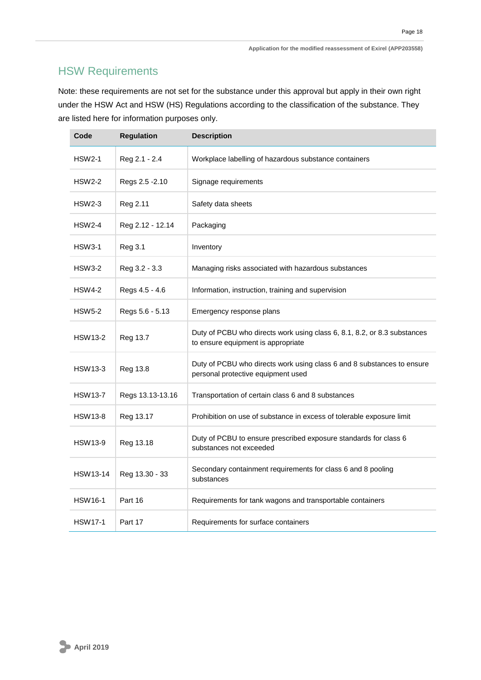## HSW Requirements

Note: these requirements are not set for the substance under this approval but apply in their own right under the HSW Act and HSW (HS) Regulations according to the classification of the substance. They are listed here for information purposes only.

| Code            | <b>Regulation</b> | <b>Description</b>                                                                                             |
|-----------------|-------------------|----------------------------------------------------------------------------------------------------------------|
| <b>HSW2-1</b>   | Reg 2.1 - 2.4     | Workplace labelling of hazardous substance containers                                                          |
| <b>HSW2-2</b>   | Regs 2.5 - 2.10   | Signage requirements                                                                                           |
| <b>HSW2-3</b>   | Reg 2.11          | Safety data sheets                                                                                             |
| <b>HSW2-4</b>   | Reg 2.12 - 12.14  | Packaging                                                                                                      |
| <b>HSW3-1</b>   | Reg 3.1           | Inventory                                                                                                      |
| <b>HSW3-2</b>   | Reg 3.2 - 3.3     | Managing risks associated with hazardous substances                                                            |
| <b>HSW4-2</b>   | Regs 4.5 - 4.6    | Information, instruction, training and supervision                                                             |
| <b>HSW5-2</b>   | Regs 5.6 - 5.13   | Emergency response plans                                                                                       |
| <b>HSW13-2</b>  | Reg 13.7          | Duty of PCBU who directs work using class 6, 8.1, 8.2, or 8.3 substances<br>to ensure equipment is appropriate |
| <b>HSW13-3</b>  | Reg 13.8          | Duty of PCBU who directs work using class 6 and 8 substances to ensure<br>personal protective equipment used   |
| <b>HSW13-7</b>  | Regs 13.13-13.16  | Transportation of certain class 6 and 8 substances                                                             |
| <b>HSW13-8</b>  | Reg 13.17         | Prohibition on use of substance in excess of tolerable exposure limit                                          |
| <b>HSW13-9</b>  | Reg 13.18         | Duty of PCBU to ensure prescribed exposure standards for class 6<br>substances not exceeded                    |
| <b>HSW13-14</b> | Reg 13.30 - 33    | Secondary containment requirements for class 6 and 8 pooling<br>substances                                     |
| <b>HSW16-1</b>  | Part 16           | Requirements for tank wagons and transportable containers                                                      |
| <b>HSW17-1</b>  | Part 17           | Requirements for surface containers                                                                            |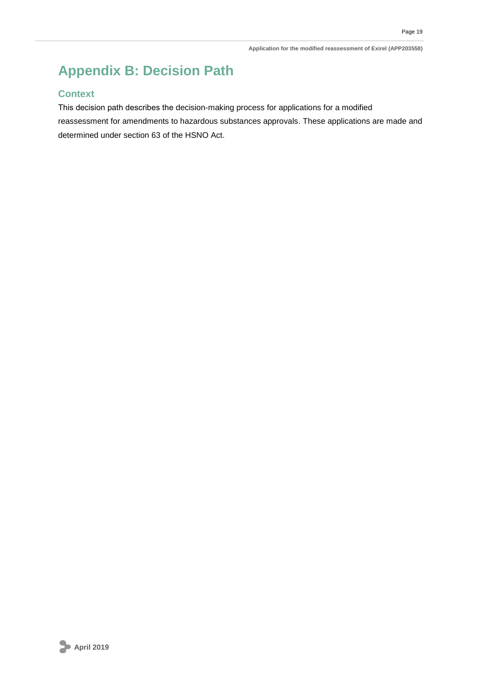## <span id="page-22-0"></span>**Appendix B: Decision Path**

### **Context**

This decision path describes the decision-making process for applications for a modified reassessment for amendments to hazardous substances approvals. These applications are made and determined under section 63 of the HSNO Act.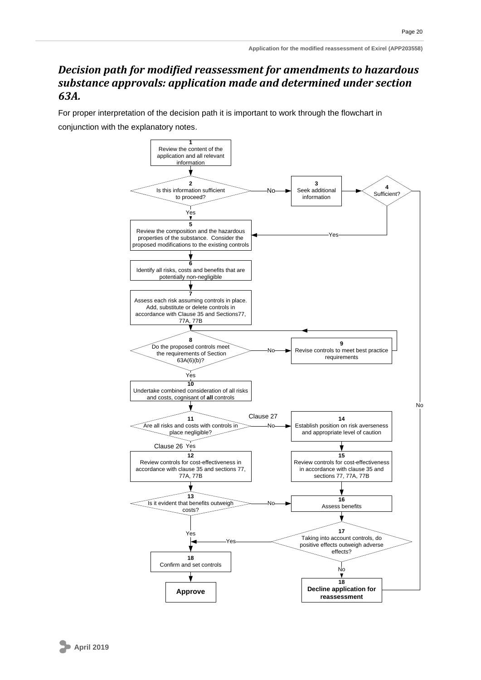## *Decision path for modified reassessment for amendments to hazardous substance approvals: application made and determined under section 63A.*

For proper interpretation of the decision path it is important to work through the flowchart in conjunction with the explanatory notes.

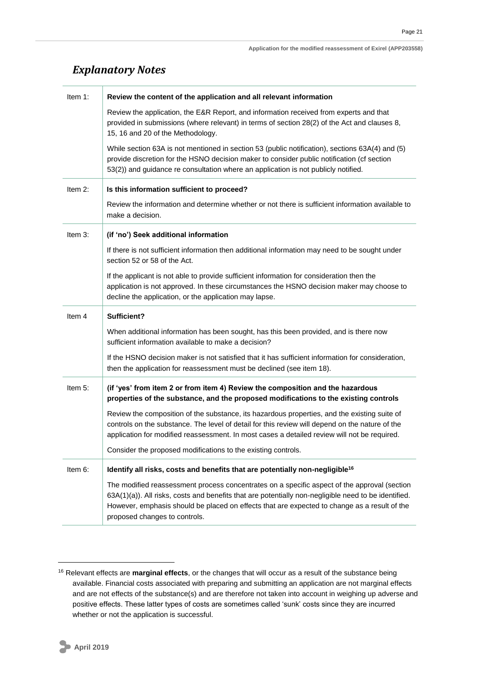## *Explanatory Notes*

| Item 1:    | Review the content of the application and all relevant information                                                                                                                                                                                                                              |
|------------|-------------------------------------------------------------------------------------------------------------------------------------------------------------------------------------------------------------------------------------------------------------------------------------------------|
|            | Review the application, the E&R Report, and information received from experts and that<br>provided in submissions (where relevant) in terms of section 28(2) of the Act and clauses 8,<br>15, 16 and 20 of the Methodology.                                                                     |
|            | While section 63A is not mentioned in section 53 (public notification), sections 63A(4) and (5)<br>provide discretion for the HSNO decision maker to consider public notification (cf section<br>53(2)) and guidance re consultation where an application is not publicly notified.             |
| Item 2:    | Is this information sufficient to proceed?                                                                                                                                                                                                                                                      |
|            | Review the information and determine whether or not there is sufficient information available to<br>make a decision.                                                                                                                                                                            |
| Item $3$ : | (if 'no') Seek additional information                                                                                                                                                                                                                                                           |
|            | If there is not sufficient information then additional information may need to be sought under<br>section 52 or 58 of the Act.                                                                                                                                                                  |
|            | If the applicant is not able to provide sufficient information for consideration then the<br>application is not approved. In these circumstances the HSNO decision maker may choose to<br>decline the application, or the application may lapse.                                                |
| Item 4     | Sufficient?                                                                                                                                                                                                                                                                                     |
|            |                                                                                                                                                                                                                                                                                                 |
|            | When additional information has been sought, has this been provided, and is there now<br>sufficient information available to make a decision?                                                                                                                                                   |
|            | If the HSNO decision maker is not satisfied that it has sufficient information for consideration,<br>then the application for reassessment must be declined (see item 18).                                                                                                                      |
| Item 5:    | (if 'yes' from item 2 or from item 4) Review the composition and the hazardous<br>properties of the substance, and the proposed modifications to the existing controls                                                                                                                          |
|            | Review the composition of the substance, its hazardous properties, and the existing suite of<br>controls on the substance. The level of detail for this review will depend on the nature of the<br>application for modified reassessment. In most cases a detailed review will not be required. |
|            | Consider the proposed modifications to the existing controls.                                                                                                                                                                                                                                   |
| Item 6:    | Identify all risks, costs and benefits that are potentially non-negligible <sup>16</sup>                                                                                                                                                                                                        |

<sup>16</sup> Relevant effects are **marginal effects**, or the changes that will occur as a result of the substance being available. Financial costs associated with preparing and submitting an application are not marginal effects and are not effects of the substance(s) and are therefore not taken into account in weighing up adverse and positive effects. These latter types of costs are sometimes called 'sunk' costs since they are incurred whether or not the application is successful.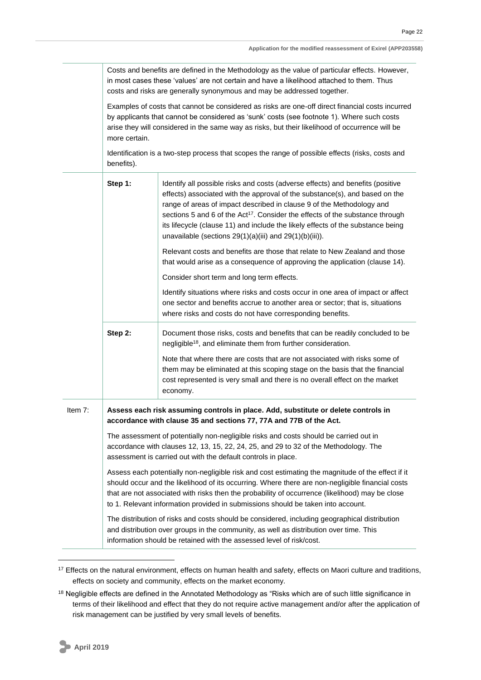Costs and benefits are defined in the Methodology as the value of particular effects. However, in most cases these 'values' are not certain and have a likelihood attached to them. Thus costs and risks are generally synonymous and may be addressed together.

Examples of costs that cannot be considered as risks are one-off direct financial costs incurred by applicants that cannot be considered as 'sunk' costs (see footnote 1). Where such costs arise they will considered in the same way as risks, but their likelihood of occurrence will be more certain.

Identification is a two-step process that scopes the range of possible effects (risks, costs and benefits).

|         | Step 1: | Identify all possible risks and costs (adverse effects) and benefits (positive<br>effects) associated with the approval of the substance(s), and based on the<br>range of areas of impact described in clause 9 of the Methodology and<br>sections 5 and 6 of the Act <sup>17</sup> . Consider the effects of the substance through<br>its lifecycle (clause 11) and include the likely effects of the substance being<br>unavailable (sections $29(1)(a)(iii)$ and $29(1)(b)(iii)$ ). |
|---------|---------|----------------------------------------------------------------------------------------------------------------------------------------------------------------------------------------------------------------------------------------------------------------------------------------------------------------------------------------------------------------------------------------------------------------------------------------------------------------------------------------|
|         |         | Relevant costs and benefits are those that relate to New Zealand and those<br>that would arise as a consequence of approving the application (clause 14).                                                                                                                                                                                                                                                                                                                              |
|         |         | Consider short term and long term effects.                                                                                                                                                                                                                                                                                                                                                                                                                                             |
|         |         | Identify situations where risks and costs occur in one area of impact or affect<br>one sector and benefits accrue to another area or sector; that is, situations<br>where risks and costs do not have corresponding benefits.                                                                                                                                                                                                                                                          |
|         | Step 2: | Document those risks, costs and benefits that can be readily concluded to be<br>negligible <sup>18</sup> , and eliminate them from further consideration.                                                                                                                                                                                                                                                                                                                              |
|         |         | Note that where there are costs that are not associated with risks some of<br>them may be eliminated at this scoping stage on the basis that the financial<br>cost represented is very small and there is no overall effect on the market<br>economy.                                                                                                                                                                                                                                  |
| Item 7: |         | Assess each risk assuming controls in place. Add, substitute or delete controls in<br>accordance with clause 35 and sections 77, 77A and 77B of the Act.                                                                                                                                                                                                                                                                                                                               |
|         |         | The assessment of potentially non-negligible risks and costs should be carried out in<br>accordance with clauses 12, 13, 15, 22, 24, 25, and 29 to 32 of the Methodology. The<br>assessment is carried out with the default controls in place.                                                                                                                                                                                                                                         |
|         |         | Assess each potentially non-negligible risk and cost estimating the magnitude of the effect if it<br>should occur and the likelihood of its occurring. Where there are non-negligible financial costs<br>that are not associated with risks then the probability of occurrence (likelihood) may be close<br>to 1. Relevant information provided in submissions should be taken into account.                                                                                           |
|         |         | The distribution of risks and costs should be considered, including geographical distribution<br>and distribution over groups in the community, as well as distribution over time. This<br>information should be retained with the assessed level of risk/cost.                                                                                                                                                                                                                        |

<sup>&</sup>lt;sup>17</sup> Effects on the natural environment, effects on human health and safety, effects on Maori culture and traditions, effects on society and community, effects on the market economy.

<sup>&</sup>lt;sup>18</sup> Negligible effects are defined in the Annotated Methodology as "Risks which are of such little significance in terms of their likelihood and effect that they do not require active management and/or after the application of risk management can be justified by very small levels of benefits.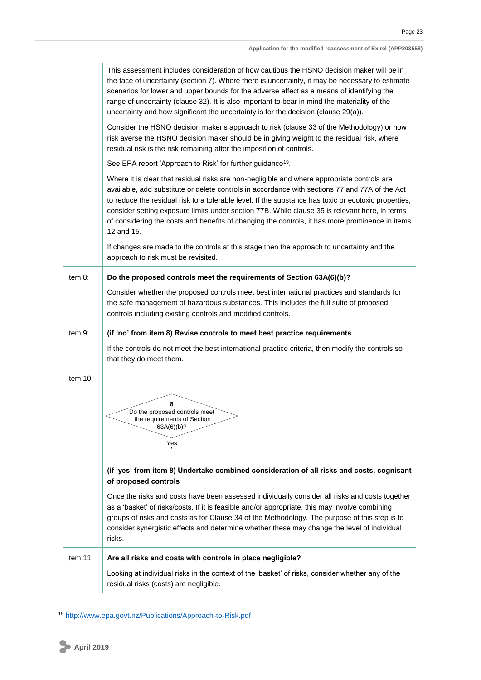|             | This assessment includes consideration of how cautious the HSNO decision maker will be in<br>the face of uncertainty (section 7). Where there is uncertainty, it may be necessary to estimate<br>scenarios for lower and upper bounds for the adverse effect as a means of identifying the<br>range of uncertainty (clause 32). It is also important to bear in mind the materiality of the<br>uncertainty and how significant the uncertainty is for the decision (clause 29(a)).                                                                                                                                        |
|-------------|---------------------------------------------------------------------------------------------------------------------------------------------------------------------------------------------------------------------------------------------------------------------------------------------------------------------------------------------------------------------------------------------------------------------------------------------------------------------------------------------------------------------------------------------------------------------------------------------------------------------------|
|             | Consider the HSNO decision maker's approach to risk (clause 33 of the Methodology) or how<br>risk averse the HSNO decision maker should be in giving weight to the residual risk, where<br>residual risk is the risk remaining after the imposition of controls.                                                                                                                                                                                                                                                                                                                                                          |
|             | See EPA report 'Approach to Risk' for further guidance <sup>19</sup> .                                                                                                                                                                                                                                                                                                                                                                                                                                                                                                                                                    |
|             | Where it is clear that residual risks are non-negligible and where appropriate controls are<br>available, add substitute or delete controls in accordance with sections 77 and 77A of the Act<br>to reduce the residual risk to a tolerable level. If the substance has toxic or ecotoxic properties,<br>consider setting exposure limits under section 77B. While clause 35 is relevant here, in terms<br>of considering the costs and benefits of changing the controls, it has more prominence in items<br>12 and 15.                                                                                                  |
|             | If changes are made to the controls at this stage then the approach to uncertainty and the<br>approach to risk must be revisited.                                                                                                                                                                                                                                                                                                                                                                                                                                                                                         |
| Item 8:     | Do the proposed controls meet the requirements of Section 63A(6)(b)?                                                                                                                                                                                                                                                                                                                                                                                                                                                                                                                                                      |
|             | Consider whether the proposed controls meet best international practices and standards for<br>the safe management of hazardous substances. This includes the full suite of proposed<br>controls including existing controls and modified controls.                                                                                                                                                                                                                                                                                                                                                                        |
| Item 9:     | (if 'no' from item 8) Revise controls to meet best practice requirements                                                                                                                                                                                                                                                                                                                                                                                                                                                                                                                                                  |
|             | If the controls do not meet the best international practice criteria, then modify the controls so<br>that they do meet them.                                                                                                                                                                                                                                                                                                                                                                                                                                                                                              |
| Item 10:    | 8<br>Do the proposed controls meet<br>the requirements of Section<br>63A(6)(b)?<br>Yes<br>(if 'yes' from item 8) Undertake combined consideration of all risks and costs, cognisant<br>of proposed controls<br>Once the risks and costs have been assessed individually consider all risks and costs together<br>as a 'basket' of risks/costs. If it is feasible and/or appropriate, this may involve combining<br>groups of risks and costs as for Clause 34 of the Methodology. The purpose of this step is to<br>consider synergistic effects and determine whether these may change the level of individual<br>risks. |
| Item $11$ : | Are all risks and costs with controls in place negligible?                                                                                                                                                                                                                                                                                                                                                                                                                                                                                                                                                                |
|             | Looking at individual risks in the context of the 'basket' of risks, consider whether any of the<br>residual risks (costs) are negligible.                                                                                                                                                                                                                                                                                                                                                                                                                                                                                |

<sup>19</sup> <http://www.epa.govt.nz/Publications/Approach-to-Risk.pdf>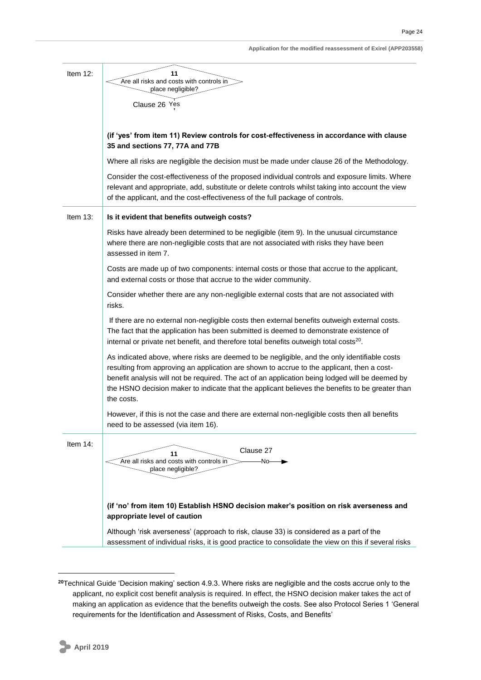| Application for the modified reassessment of Exirel (APP203558) |  |
|-----------------------------------------------------------------|--|
|-----------------------------------------------------------------|--|

| Item $12$ : | 11                                                                                                                                                                                                                                                                                                                                                                                                             |
|-------------|----------------------------------------------------------------------------------------------------------------------------------------------------------------------------------------------------------------------------------------------------------------------------------------------------------------------------------------------------------------------------------------------------------------|
|             | Are all risks and costs with controls in                                                                                                                                                                                                                                                                                                                                                                       |
|             | place negligible?                                                                                                                                                                                                                                                                                                                                                                                              |
|             | Clause 26 Yes                                                                                                                                                                                                                                                                                                                                                                                                  |
|             |                                                                                                                                                                                                                                                                                                                                                                                                                |
|             | (if 'yes' from item 11) Review controls for cost-effectiveness in accordance with clause<br>35 and sections 77, 77A and 77B                                                                                                                                                                                                                                                                                    |
|             | Where all risks are negligible the decision must be made under clause 26 of the Methodology.                                                                                                                                                                                                                                                                                                                   |
|             | Consider the cost-effectiveness of the proposed individual controls and exposure limits. Where<br>relevant and appropriate, add, substitute or delete controls whilst taking into account the view<br>of the applicant, and the cost-effectiveness of the full package of controls.                                                                                                                            |
| Item $13$ : | Is it evident that benefits outweigh costs?                                                                                                                                                                                                                                                                                                                                                                    |
|             | Risks have already been determined to be negligible (item 9). In the unusual circumstance<br>where there are non-negligible costs that are not associated with risks they have been<br>assessed in item 7.                                                                                                                                                                                                     |
|             | Costs are made up of two components: internal costs or those that accrue to the applicant,<br>and external costs or those that accrue to the wider community.                                                                                                                                                                                                                                                  |
|             | Consider whether there are any non-negligible external costs that are not associated with<br>risks.                                                                                                                                                                                                                                                                                                            |
|             | If there are no external non-negligible costs then external benefits outweigh external costs.<br>The fact that the application has been submitted is deemed to demonstrate existence of<br>internal or private net benefit, and therefore total benefits outweigh total costs <sup>20</sup> .                                                                                                                  |
|             | As indicated above, where risks are deemed to be negligible, and the only identifiable costs<br>resulting from approving an application are shown to accrue to the applicant, then a cost-<br>benefit analysis will not be required. The act of an application being lodged will be deemed by<br>the HSNO decision maker to indicate that the applicant believes the benefits to be greater than<br>the costs. |
|             | However, if this is not the case and there are external non-negligible costs then all benefits<br>need to be assessed (via item 16).                                                                                                                                                                                                                                                                           |
| Item 14:    | Clause 27<br>11<br>Are all risks and costs with controls in<br>-No-<br>place negligible?                                                                                                                                                                                                                                                                                                                       |
|             | (if 'no' from item 10) Establish HSNO decision maker's position on risk averseness and<br>appropriate level of caution                                                                                                                                                                                                                                                                                         |
|             | Although 'risk averseness' (approach to risk, clause 33) is considered as a part of the<br>assessment of individual risks, it is good practice to consolidate the view on this if several risks                                                                                                                                                                                                                |

**<sup>20</sup>**Technical Guide 'Decision making' section 4.9.3. Where risks are negligible and the costs accrue only to the applicant, no explicit cost benefit analysis is required. In effect, the HSNO decision maker takes the act of making an application as evidence that the benefits outweigh the costs. See also Protocol Series 1 'General requirements for the Identification and Assessment of Risks, Costs, and Benefits'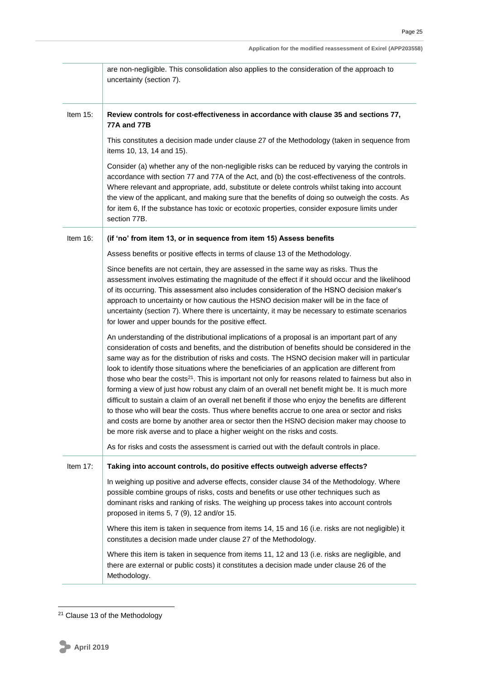|             | Application for the modified reassessment of Exirel (APP203558)                                                                                                                                                                                                                                                                                                                                                                                                                                                                                                                                                                                                                                                                                                                                                                                                                                                                                                                                               |
|-------------|---------------------------------------------------------------------------------------------------------------------------------------------------------------------------------------------------------------------------------------------------------------------------------------------------------------------------------------------------------------------------------------------------------------------------------------------------------------------------------------------------------------------------------------------------------------------------------------------------------------------------------------------------------------------------------------------------------------------------------------------------------------------------------------------------------------------------------------------------------------------------------------------------------------------------------------------------------------------------------------------------------------|
|             | are non-negligible. This consolidation also applies to the consideration of the approach to<br>uncertainty (section 7).                                                                                                                                                                                                                                                                                                                                                                                                                                                                                                                                                                                                                                                                                                                                                                                                                                                                                       |
| Item $15$ : | Review controls for cost-effectiveness in accordance with clause 35 and sections 77,<br>77A and 77B                                                                                                                                                                                                                                                                                                                                                                                                                                                                                                                                                                                                                                                                                                                                                                                                                                                                                                           |
|             | This constitutes a decision made under clause 27 of the Methodology (taken in sequence from<br>items 10, 13, 14 and 15).                                                                                                                                                                                                                                                                                                                                                                                                                                                                                                                                                                                                                                                                                                                                                                                                                                                                                      |
|             | Consider (a) whether any of the non-negligible risks can be reduced by varying the controls in<br>accordance with section 77 and 77A of the Act, and (b) the cost-effectiveness of the controls.<br>Where relevant and appropriate, add, substitute or delete controls whilst taking into account<br>the view of the applicant, and making sure that the benefits of doing so outweigh the costs. As<br>for item 6, If the substance has toxic or ecotoxic properties, consider exposure limits under<br>section 77B.                                                                                                                                                                                                                                                                                                                                                                                                                                                                                         |
| Item $16$ : | (if 'no' from item 13, or in sequence from item 15) Assess benefits                                                                                                                                                                                                                                                                                                                                                                                                                                                                                                                                                                                                                                                                                                                                                                                                                                                                                                                                           |
|             | Assess benefits or positive effects in terms of clause 13 of the Methodology.                                                                                                                                                                                                                                                                                                                                                                                                                                                                                                                                                                                                                                                                                                                                                                                                                                                                                                                                 |
|             | Since benefits are not certain, they are assessed in the same way as risks. Thus the<br>assessment involves estimating the magnitude of the effect if it should occur and the likelihood<br>of its occurring. This assessment also includes consideration of the HSNO decision maker's<br>approach to uncertainty or how cautious the HSNO decision maker will be in the face of<br>uncertainty (section 7). Where there is uncertainty, it may be necessary to estimate scenarios<br>for lower and upper bounds for the positive effect.                                                                                                                                                                                                                                                                                                                                                                                                                                                                     |
|             | An understanding of the distributional implications of a proposal is an important part of any<br>consideration of costs and benefits, and the distribution of benefits should be considered in the<br>same way as for the distribution of risks and costs. The HSNO decision maker will in particular<br>look to identify those situations where the beneficiaries of an application are different from<br>those who bear the costs <sup>21</sup> . This is important not only for reasons related to fairness but also in<br>forming a view of just how robust any claim of an overall net benefit might be. It is much more<br>difficult to sustain a claim of an overall net benefit if those who enjoy the benefits are different<br>to those who will bear the costs. Thus where benefits accrue to one area or sector and risks<br>and costs are borne by another area or sector then the HSNO decision maker may choose to<br>be more risk averse and to place a higher weight on the risks and costs. |
|             | As for risks and costs the assessment is carried out with the default controls in place.                                                                                                                                                                                                                                                                                                                                                                                                                                                                                                                                                                                                                                                                                                                                                                                                                                                                                                                      |
| Item $17$ : | Taking into account controls, do positive effects outweigh adverse effects?                                                                                                                                                                                                                                                                                                                                                                                                                                                                                                                                                                                                                                                                                                                                                                                                                                                                                                                                   |
|             | In weighing up positive and adverse effects, consider clause 34 of the Methodology. Where<br>possible combine groups of risks, costs and benefits or use other techniques such as<br>dominant risks and ranking of risks. The weighing up process takes into account controls<br>proposed in items 5, 7 (9), 12 and/or 15.                                                                                                                                                                                                                                                                                                                                                                                                                                                                                                                                                                                                                                                                                    |
|             | Where this item is taken in sequence from items 14, 15 and 16 (i.e. risks are not negligible) it<br>constitutes a decision made under clause 27 of the Methodology.                                                                                                                                                                                                                                                                                                                                                                                                                                                                                                                                                                                                                                                                                                                                                                                                                                           |
|             | Where this item is taken in sequence from items 11, 12 and 13 (i.e. risks are negligible, and<br>there are external or public costs) it constitutes a decision made under clause 26 of the<br>Methodology.                                                                                                                                                                                                                                                                                                                                                                                                                                                                                                                                                                                                                                                                                                                                                                                                    |

 $21$  Clause 13 of the Methodology

**.**